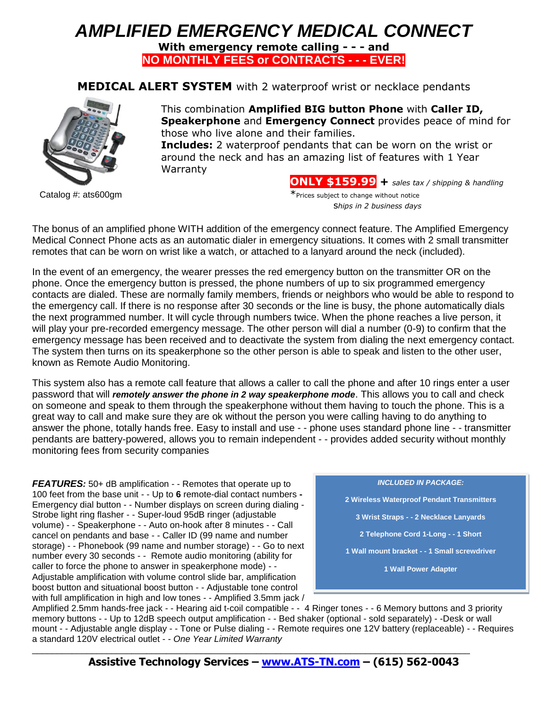## *AMPLIFIED EMERGENCY MEDICAL CONNECT*

**With emergency remote calling - - - and NO MONTHLY FEES or CONTRACTS - - - EVER!**

**MEDICAL ALERT SYSTEM** with 2 waterproof wrist or necklace pendants



This combination **Amplified BIG button Phone** with **Caller ID, Speakerphone** and **Emergency Connect** provides peace of mind for those who live alone and their families.

**Includes:** 2 waterproof pendants that can be worn on the wrist or around the neck and has an amazing list of features with 1 Year Warranty

**ONLY \$159.99 +** *sales tax / shipping & handling* Catalog #: ats600gm \*Prices subject to change without notice s*hips in 2 business days*

The bonus of an amplified phone WITH addition of the emergency connect feature. The Amplified Emergency Medical Connect Phone acts as an automatic dialer in emergency situations. It comes with 2 small transmitter remotes that can be worn on wrist like a watch, or attached to a lanyard around the neck (included).

In the event of an emergency, the wearer presses the red emergency button on the transmitter OR on the phone. Once the emergency button is pressed, the phone numbers of up to six programmed emergency contacts are dialed. These are normally family members, friends or neighbors who would be able to respond to the emergency call. If there is no response after 30 seconds or the line is busy, the phone automatically dials the next programmed number. It will cycle through numbers twice. When the phone reaches a live person, it will play your pre-recorded emergency message. The other person will dial a number (0-9) to confirm that the emergency message has been received and to deactivate the system from dialing the next emergency contact. The system then turns on its speakerphone so the other person is able to speak and listen to the other user, known as Remote Audio Monitoring.

This system also has a remote call feature that allows a caller to call the phone and after 10 rings enter a user password that will *remotely answer the phone in 2 way speakerphone mode*. This allows you to call and check on someone and speak to them through the speakerphone without them having to touch the phone. This is a great way to call and make sure they are ok without the person you were calling having to do anything to answer the phone, totally hands free. Easy to install and use - - phone uses standard phone line - - transmitter pendants are battery-powered, allows you to remain independent - - provides added security without monthly monitoring fees from security companies

*FEATURES:* 50+ dB amplification - - Remotes that operate up to 100 feet from the base unit - - Up to **6** remote-dial contact numbers **-**  Emergency dial button - - Number displays on screen during dialing - Strobe light ring flasher - - Super-loud 95dB ringer (adjustable volume) - - Speakerphone - - Auto on-hook after 8 minutes - - Call cancel on pendants and base - - Caller ID (99 name and number storage) - - Phonebook (99 name and number storage) - - Go to next number every 30 seconds - - Remote audio monitoring (ability for caller to force the phone to answer in speakerphone mode) - - Adjustable amplification with volume control slide bar, amplification boost button and situational boost button - - Adjustable tone control with full amplification in high and low tones - - Amplified 3.5mm jack /

*INCLUDED IN PACKAGE:* **2 Wireless Waterproof Pendant Transmitters 3 Wrist Straps - - 2 Necklace Lanyards 2 Telephone Cord 1-Long - - 1 Short 1 Wall mount bracket - - 1 Small screwdriver 1 Wall Power Adapter**

Amplified 2.5mm hands-free jack - - Hearing aid t-coil compatible - - 4 Ringer tones - - 6 Memory buttons and 3 priority memory buttons - - Up to 12dB speech output amplification - - Bed shaker (optional - sold separately) - -Desk or wall mount - - Adjustable angle display - - Tone or Pulse dialing - - Remote requires one 12V battery (replaceable) - - Requires a standard 120V electrical outlet - - *One Year Limited Warranty*

**Assistive Technology Services – www.ATS-TN.com – (615) 562-0043**

\_\_\_\_\_\_\_\_\_\_\_\_\_\_\_\_\_\_\_\_\_\_\_\_\_\_\_\_\_\_\_\_\_\_\_\_\_\_\_\_\_\_\_\_\_\_\_\_\_\_\_\_\_\_\_\_\_\_\_\_\_\_\_\_\_\_\_\_\_\_\_\_\_\_\_\_\_\_\_\_\_\_\_\_\_\_\_\_